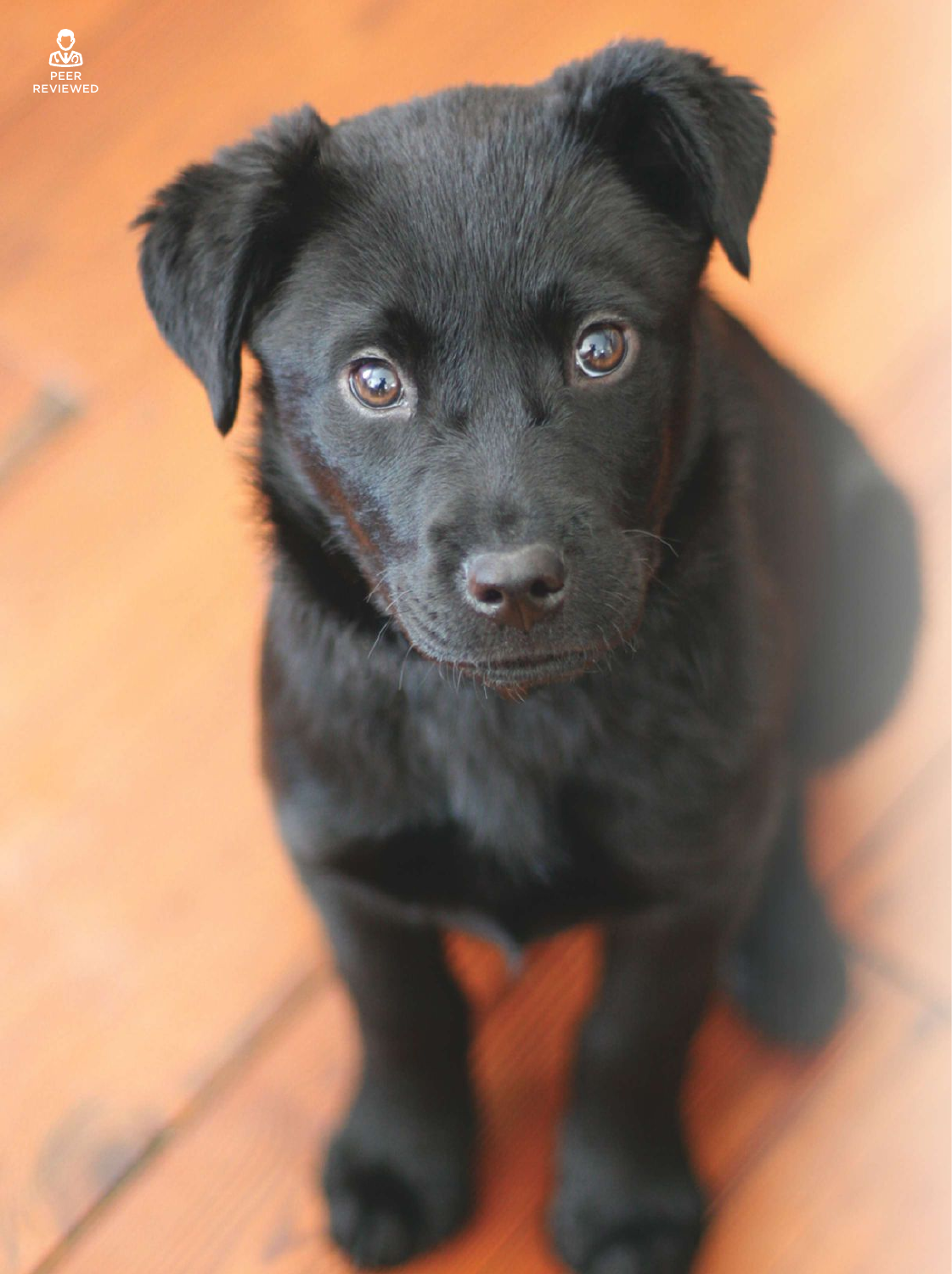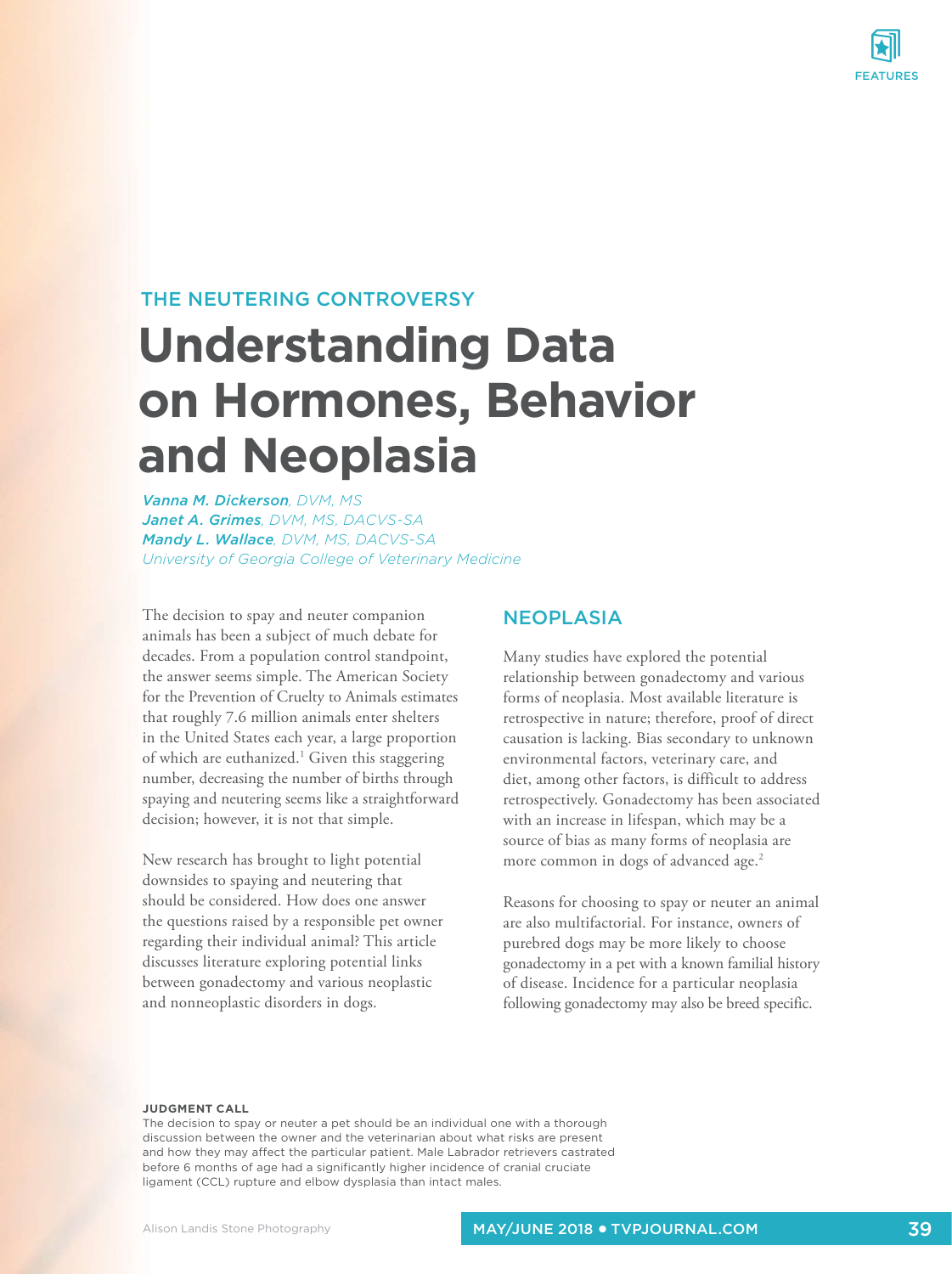

# THE NEUTERING CONTROVERSY

# **Understanding Data on Hormones, Behavior and Neoplasia**

*Vanna M. Dickerson, DVM, MS Janet A. Grimes, DVM, MS, DACVS-SA Mandy L. Wallace, DVM, MS, DACVS-SA University of Georgia College of Veterinary Medicine*

The decision to spay and neuter companion animals has been a subject of much debate for decades. From a population control standpoint, the answer seems simple. The American Society for the Prevention of Cruelty to Animals estimates that roughly 7.6 million animals enter shelters in the United States each year, a large proportion of which are euthanized.<sup>1</sup> Given this staggering number, decreasing the number of births through spaying and neutering seems like a straightforward decision; however, it is not that simple.

New research has brought to light potential downsides to spaying and neutering that should be considered. How does one answer the questions raised by a responsible pet owner regarding their individual animal? This article discusses literature exploring potential links between gonadectomy and various neoplastic and nonneoplastic disorders in dogs.

#### **NEOPLASIA**

Many studies have explored the potential relationship between gonadectomy and various forms of neoplasia. Most available literature is retrospective in nature; therefore, proof of direct causation is lacking. Bias secondary to unknown environmental factors, veterinary care, and diet, among other factors, is difficult to address retrospectively. Gonadectomy has been associated with an increase in lifespan, which may be a source of bias as many forms of neoplasia are more common in dogs of advanced age.<sup>2</sup>

Reasons for choosing to spay or neuter an animal are also multifactorial. For instance, owners of purebred dogs may be more likely to choose gonadectomy in a pet with a known familial history of disease. Incidence for a particular neoplasia following gonadectomy may also be breed specific.

#### **JUDGMENT CALL**

The decision to spay or neuter a pet should be an individual one with a thorough discussion between the owner and the veterinarian about what risks are present and how they may affect the particular patient. Male Labrador retrievers castrated before 6 months of age had a significantly higher incidence of cranial cruciate ligament (CCL) rupture and elbow dysplasia than intact males.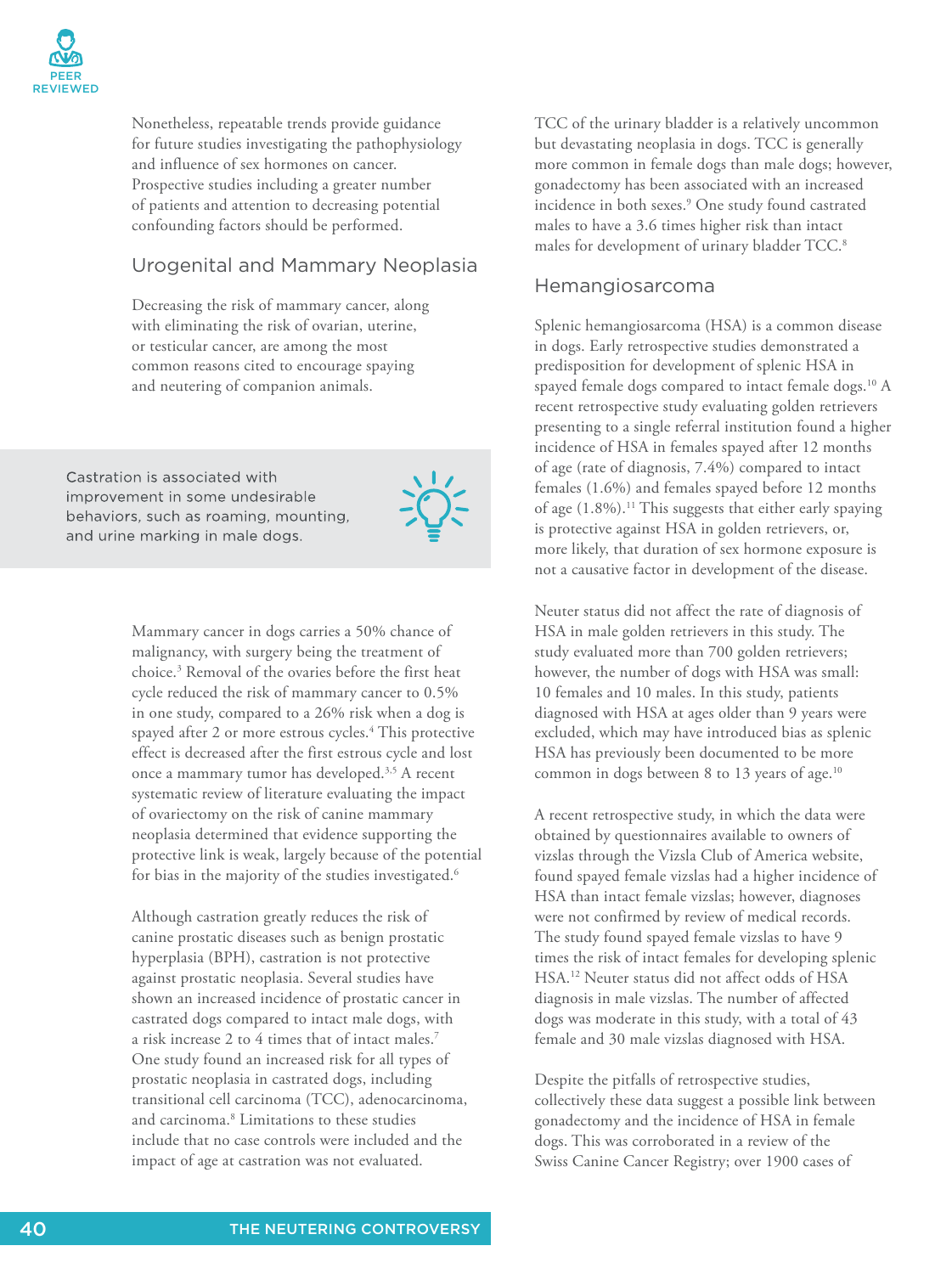

Nonetheless, repeatable trends provide guidance for future studies investigating the pathophysiology and influence of sex hormones on cancer. Prospective studies including a greater number of patients and attention to decreasing potential confounding factors should be performed.

## Urogenital and Mammary Neoplasia

Decreasing the risk of mammary cancer, along with eliminating the risk of ovarian, uterine, or testicular cancer, are among the most common reasons cited to encourage spaying and neutering of companion animals.

Castration is associated with improvement in some undesirable behaviors, such as roaming, mounting, and urine marking in male dogs.



Mammary cancer in dogs carries a 50% chance of malignancy, with surgery being the treatment of choice.<sup>3</sup> Removal of the ovaries before the first heat cycle reduced the risk of mammary cancer to 0.5% in one study, compared to a 26% risk when a dog is spayed after 2 or more estrous cycles.<sup>4</sup> This protective effect is decreased after the first estrous cycle and lost once a mammary tumor has developed.3,5 A recent systematic review of literature evaluating the impact of ovariectomy on the risk of canine mammary neoplasia determined that evidence supporting the protective link is weak, largely because of the potential for bias in the majority of the studies investigated.<sup>6</sup>

Although castration greatly reduces the risk of canine prostatic diseases such as benign prostatic hyperplasia (BPH), castration is not protective against prostatic neoplasia. Several studies have shown an increased incidence of prostatic cancer in castrated dogs compared to intact male dogs, with a risk increase 2 to 4 times that of intact males.<sup>7</sup> One study found an increased risk for all types of prostatic neoplasia in castrated dogs, including transitional cell carcinoma (TCC), adenocarcinoma, and carcinoma.<sup>8</sup> Limitations to these studies include that no case controls were included and the impact of age at castration was not evaluated.

TCC of the urinary bladder is a relatively uncommon but devastating neoplasia in dogs. TCC is generally more common in female dogs than male dogs; however, gonadectomy has been associated with an increased incidence in both sexes.<sup>9</sup> One study found castrated males to have a 3.6 times higher risk than intact males for development of urinary bladder TCC.<sup>8</sup>

#### Hemangiosarcoma

Splenic hemangiosarcoma (HSA) is a common disease in dogs. Early retrospective studies demonstrated a predisposition for development of splenic HSA in spayed female dogs compared to intact female dogs.<sup>10</sup> A recent retrospective study evaluating golden retrievers presenting to a single referral institution found a higher incidence of HSA in females spayed after 12 months of age (rate of diagnosis, 7.4%) compared to intact females (1.6%) and females spayed before 12 months of age  $(1.8\%)$ .<sup>11</sup> This suggests that either early spaying is protective against HSA in golden retrievers, or, more likely, that duration of sex hormone exposure is not a causative factor in development of the disease.

Neuter status did not affect the rate of diagnosis of HSA in male golden retrievers in this study. The study evaluated more than 700 golden retrievers; however, the number of dogs with HSA was small: 10 females and 10 males. In this study, patients diagnosed with HSA at ages older than 9 years were excluded, which may have introduced bias as splenic HSA has previously been documented to be more common in dogs between 8 to 13 years of age.<sup>10</sup>

A recent retrospective study, in which the data were obtained by questionnaires available to owners of vizslas through the Vizsla Club of America website, found spayed female vizslas had a higher incidence of HSA than intact female vizslas; however, diagnoses were not confirmed by review of medical records. The study found spayed female vizslas to have 9 times the risk of intact females for developing splenic HSA.<sup>12</sup> Neuter status did not affect odds of HSA diagnosis in male vizslas. The number of affected dogs was moderate in this study, with a total of 43 female and 30 male vizslas diagnosed with HSA.

Despite the pitfalls of retrospective studies, collectively these data suggest a possible link between gonadectomy and the incidence of HSA in female dogs. This was corroborated in a review of the Swiss Canine Cancer Registry; over 1900 cases of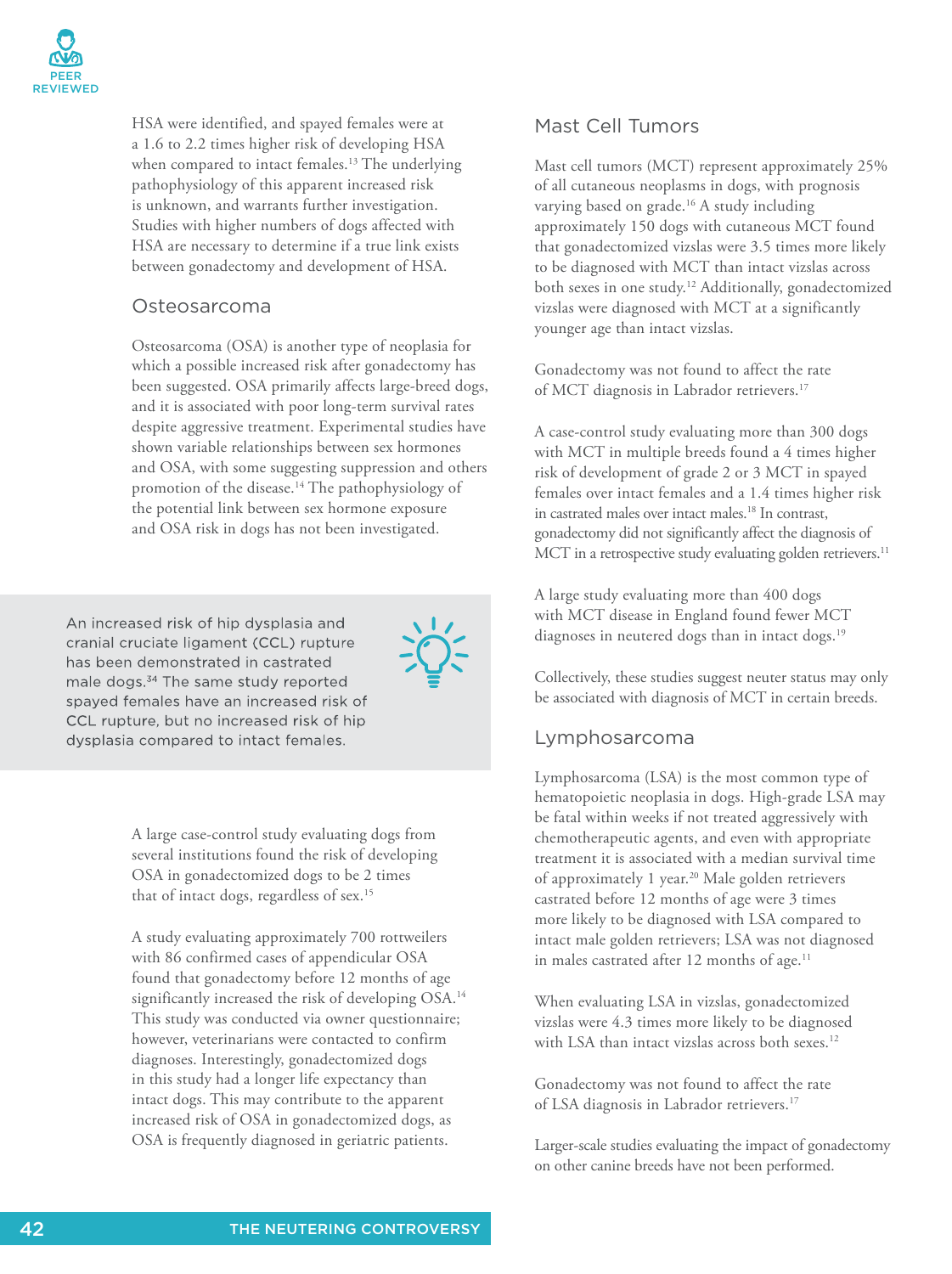

HSA were identified, and spayed females were at a 1.6 to 2.2 times higher risk of developing HSA when compared to intact females.<sup>13</sup> The underlying pathophysiology of this apparent increased risk is unknown, and warrants further investigation. Studies with higher numbers of dogs affected with HSA are necessary to determine if a true link exists between gonadectomy and development of HSA.

#### Osteosarcoma

Osteosarcoma (OSA) is another type of neoplasia for which a possible increased risk after gonadectomy has been suggested. OSA primarily affects large-breed dogs, and it is associated with poor long-term survival rates despite aggressive treatment. Experimental studies have shown variable relationships between sex hormones and OSA, with some suggesting suppression and others promotion of the disease.<sup>14</sup> The pathophysiology of the potential link between sex hormone exposure and OSA risk in dogs has not been investigated.

An increased risk of hip dysplasia and cranial cruciate ligament (CCL) rupture has been demonstrated in castrated male dogs. <sup>34</sup> The same study reported spayed females have an increased risk of CCL rupture, but no increased risk of hip dysplasia compared to intact females.



A large case-control study evaluating dogs from several institutions found the risk of developing OSA in gonadectomized dogs to be 2 times that of intact dogs, regardless of sex.<sup>15</sup>

A study evaluating approximately 700 rottweilers with 86 confirmed cases of appendicular OSA found that gonadectomy before 12 months of age significantly increased the risk of developing OSA.<sup>14</sup> This study was conducted via owner questionnaire; however, veterinarians were contacted to confirm diagnoses. Interestingly, gonadectomized dogs in this study had a longer life expectancy than intact dogs. This may contribute to the apparent increased risk of OSA in gonadectomized dogs, as OSA is frequently diagnosed in geriatric patients.

#### Mast Cell Tumors

Mast cell tumors (MCT) represent approximately 25% of all cutaneous neoplasms in dogs, with prognosis varying based on grade.<sup>16</sup> A study including approximately 150 dogs with cutaneous MCT found that gonadectomized vizslas were 3.5 times more likely to be diagnosed with MCT than intact vizslas across both sexes in one study.<sup>12</sup> Additionally, gonadectomized vizslas were diagnosed with MCT at a significantly younger age than intact vizslas.

Gonadectomy was not found to affect the rate of MCT diagnosis in Labrador retrievers.<sup>17</sup>

A case-control study evaluating more than 300 dogs with MCT in multiple breeds found a 4 times higher risk of development of grade 2 or 3 MCT in spayed females over intact females and a 1.4 times higher risk in castrated males over intact males.<sup>18</sup> In contrast, gonadectomy did not significantly affect the diagnosis of MCT in a retrospective study evaluating golden retrievers.<sup>11</sup>

A large study evaluating more than 400 dogs with MCT disease in England found fewer MCT diagnoses in neutered dogs than in intact dogs.<sup>19</sup>

Collectively, these studies suggest neuter status may only be associated with diagnosis of MCT in certain breeds.

#### Lymphosarcoma

Lymphosarcoma (LSA) is the most common type of hematopoietic neoplasia in dogs. High-grade LSA may be fatal within weeks if not treated aggressively with chemotherapeutic agents, and even with appropriate treatment it is associated with a median survival time of approximately 1 year.<sup>20</sup> Male golden retrievers castrated before 12 months of age were 3 times more likely to be diagnosed with LSA compared to intact male golden retrievers; LSA was not diagnosed in males castrated after 12 months of age.<sup>11</sup>

When evaluating LSA in vizslas, gonadectomized vizslas were 4.3 times more likely to be diagnosed with LSA than intact vizslas across both sexes.<sup>12</sup>

Gonadectomy was not found to affect the rate of LSA diagnosis in Labrador retrievers.<sup>17</sup>

Larger-scale studies evaluating the impact of gonadectomy on other canine breeds have not been performed.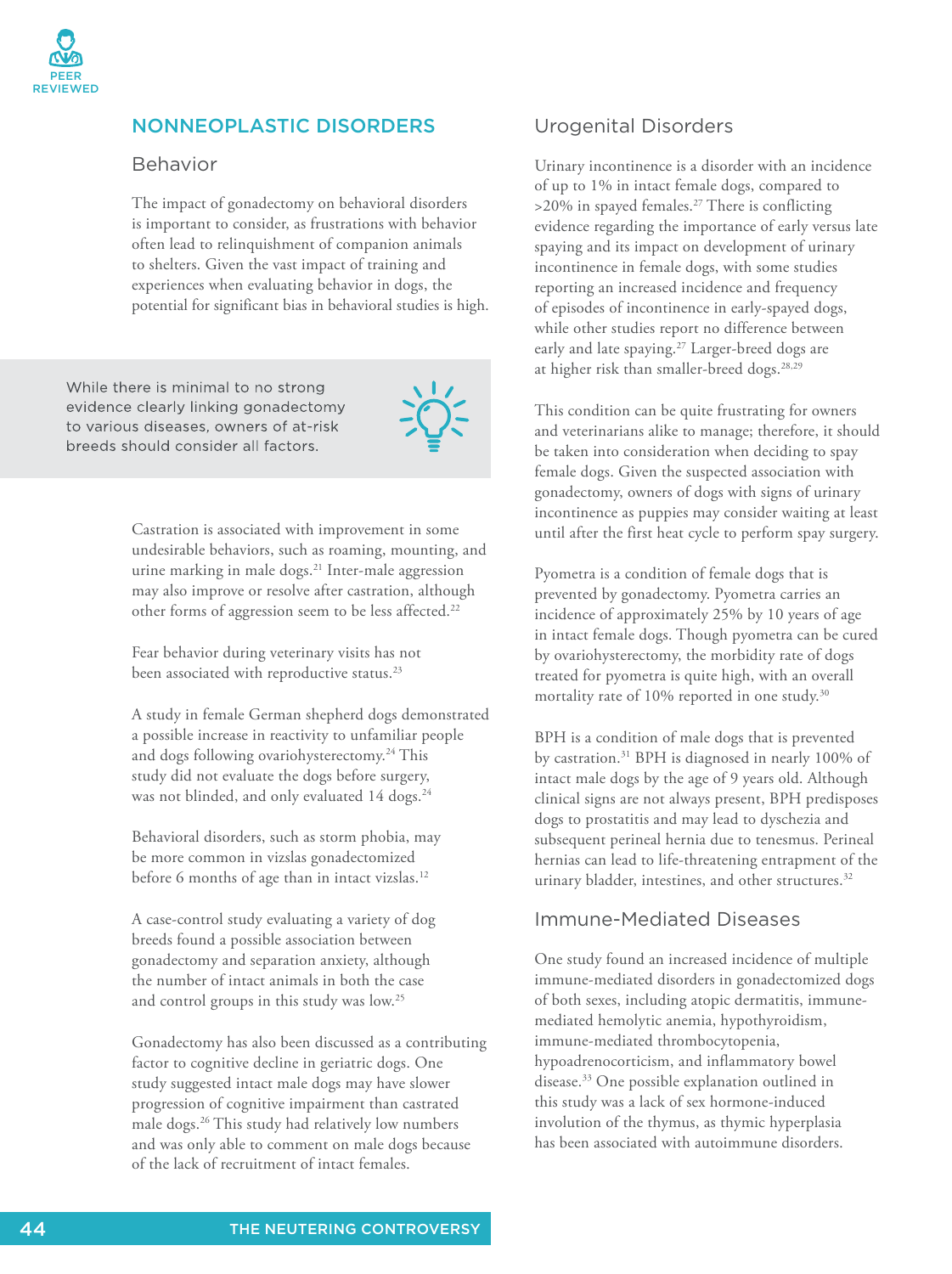

## NONNEOPLASTIC DISORDERS

#### Behavior

The impact of gonadectomy on behavioral disorders is important to consider, as frustrations with behavior often lead to relinquishment of companion animals to shelters. Given the vast impact of training and experiences when evaluating behavior in dogs, the potential for significant bias in behavioral studies is high.

While there is minimal to no strong evidence clearly linking gonadectomy to various diseases, owners of at-risk breeds should consider all factors.



Castration is associated with improvement in some undesirable behaviors, such as roaming, mounting, and urine marking in male dogs.<sup>21</sup> Inter-male aggression may also improve or resolve after castration, although other forms of aggression seem to be less affected.<sup>22</sup>

Fear behavior during veterinary visits has not been associated with reproductive status.<sup>23</sup>

A study in female German shepherd dogs demonstrated a possible increase in reactivity to unfamiliar people and dogs following ovariohysterectomy.<sup>24</sup> This study did not evaluate the dogs before surgery, was not blinded, and only evaluated 14 dogs.<sup>24</sup>

Behavioral disorders, such as storm phobia, may be more common in vizslas gonadectomized before 6 months of age than in intact vizslas.<sup>12</sup>

A case-control study evaluating a variety of dog breeds found a possible association between gonadectomy and separation anxiety, although the number of intact animals in both the case and control groups in this study was low.<sup>25</sup>

Gonadectomy has also been discussed as a contributing factor to cognitive decline in geriatric dogs. One study suggested intact male dogs may have slower progression of cognitive impairment than castrated male dogs.<sup>26</sup> This study had relatively low numbers and was only able to comment on male dogs because of the lack of recruitment of intact females.

#### Urogenital Disorders

Urinary incontinence is a disorder with an incidence of up to 1% in intact female dogs, compared to  $>$ 20% in spayed females.<sup>27</sup> There is conflicting evidence regarding the importance of early versus late spaying and its impact on development of urinary incontinence in female dogs, with some studies reporting an increased incidence and frequency of episodes of incontinence in early-spayed dogs, while other studies report no difference between early and late spaying.<sup>27</sup> Larger-breed dogs are at higher risk than smaller-breed dogs.<sup>28,29</sup>

This condition can be quite frustrating for owners and veterinarians alike to manage; therefore, it should be taken into consideration when deciding to spay female dogs. Given the suspected association with gonadectomy, owners of dogs with signs of urinary incontinence as puppies may consider waiting at least until after the first heat cycle to perform spay surgery.

Pyometra is a condition of female dogs that is prevented by gonadectomy. Pyometra carries an incidence of approximately 25% by 10 years of age in intact female dogs. Though pyometra can be cured by ovariohysterectomy, the morbidity rate of dogs treated for pyometra is quite high, with an overall mortality rate of 10% reported in one study.<sup>30</sup>

BPH is a condition of male dogs that is prevented by castration.<sup>31</sup> BPH is diagnosed in nearly 100% of intact male dogs by the age of 9 years old. Although clinical signs are not always present, BPH predisposes dogs to prostatitis and may lead to dyschezia and subsequent perineal hernia due to tenesmus. Perineal hernias can lead to life-threatening entrapment of the urinary bladder, intestines, and other structures.<sup>32</sup>

#### Immune-Mediated Diseases

One study found an increased incidence of multiple immune-mediated disorders in gonadectomized dogs of both sexes, including atopic dermatitis, immunemediated hemolytic anemia, hypothyroidism, immune-mediated thrombocytopenia, hypoadrenocorticism, and inflammatory bowel disease.<sup>33</sup> One possible explanation outlined in this study was a lack of sex hormone-induced involution of the thymus, as thymic hyperplasia has been associated with autoimmune disorders.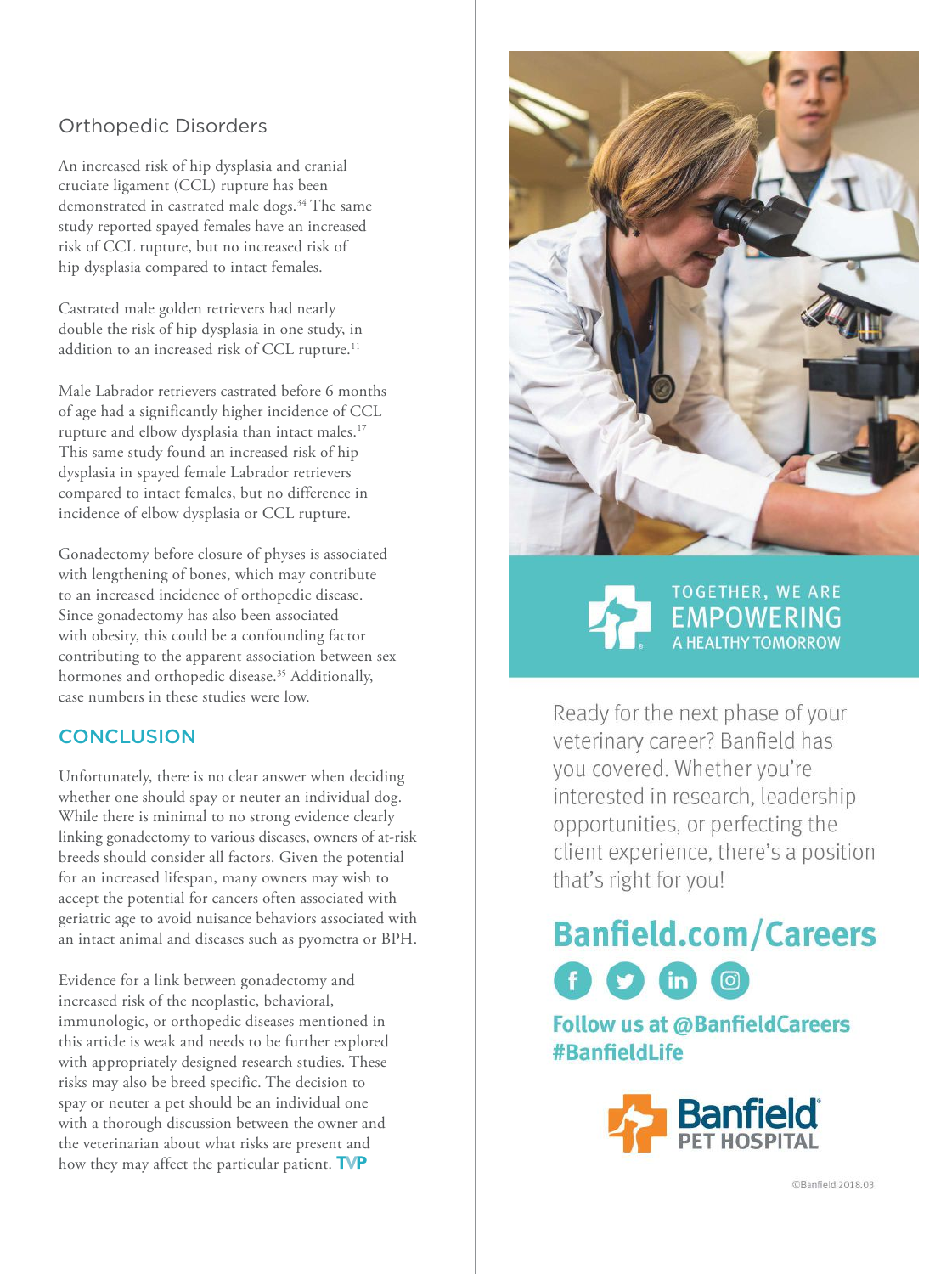# Orthopedic Disorders

An increased risk of hip dysplasia and cranial cruciate ligament (CCL) rupture has been demonstrated in castrated male dogs.<sup>34</sup> The same study reported spayed females have an increased risk of CCL rupture, but no increased risk of hip dysplasia compared to intact females.

Castrated male golden retrievers had nearly double the risk of hip dysplasia in one study, in addition to an increased risk of CCL rupture.<sup>11</sup>

Male Labrador retrievers castrated before 6 months of age had a significantly higher incidence of CCL rupture and elbow dysplasia than intact males.<sup>17</sup> This same study found an increased risk of hip dysplasia in spayed female Labrador retrievers compared to intact females, but no difference in incidence of elbow dysplasia or CCL rupture.

Gonadectomy before closure of physes is associated with lengthening of bones, which may contribute to an increased incidence of orthopedic disease. Since gonadectomy has also been associated with obesity, this could be a confounding factor contributing to the apparent association between sex hormones and orthopedic disease.<sup>35</sup> Additionally, case numbers in these studies were low.

#### **CONCLUSION**

Unfortunately, there is no clear answer when deciding whether one should spay or neuter an individual dog. While there is minimal to no strong evidence clearly linking gonadectomy to various diseases, owners of at-risk breeds should consider all factors. Given the potential for an increased lifespan, many owners may wish to accept the potential for cancers often associated with geriatric age to avoid nuisance behaviors associated with an intact animal and diseases such as pyometra or BPH.

Evidence for a link between gonadectomy and increased risk of the neoplastic, behavioral, immunologic, or orthopedic diseases mentioned in this article is weak and needs to be further explored with appropriately designed research studies. These risks may also be breed specific. The decision to spay or neuter a pet should be an individual one with a thorough discussion between the owner and the veterinarian about what risks are present and how they may affect the particular patient. TVP



**TOGETHER, WE ARE EMPOWERING**<br>A HEALTHY TOMORROW

Ready for the next phase of your veterinary career? Banfield has vou covered. Whether you're interested in research, leadership opportunities, or perfecting the client experience, there's a position that's right for you!

# **Banfield.com/Careers** f 9 m  $\boxed{0}$

**Follow us at @BanfieldCareers** #BanfieldLife